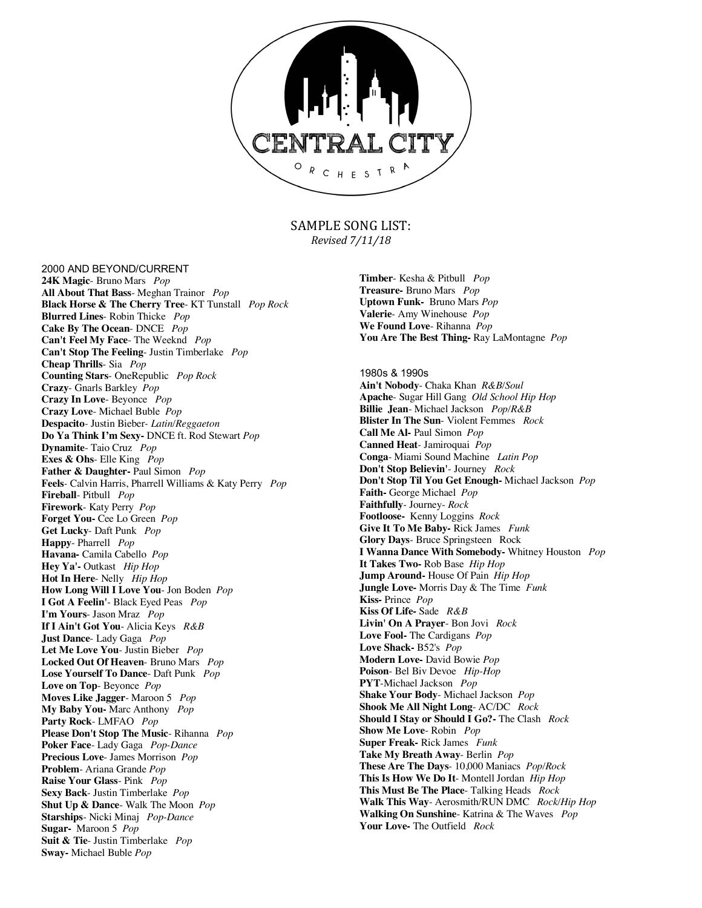

SAMPLE SONG LIST: *Revised 7/11/18*

2000 AND BEYOND/CURRENT

**24K Magic**- Bruno Mars *Pop* **All About That Bass**- Meghan Trainor *Pop* **Black Horse & The Cherry Tree**- KT Tunstall *Pop Rock* **Blurred Lines**- Robin Thicke *Pop* **Cake By The Ocean**- DNCE *Pop* **Can't Feel My Face**- The Weeknd *Pop*  **Can't Stop The Feeling**- Justin Timberlake *Pop* **Cheap Thrills**- Sia *Pop* **Counting Stars**- OneRepublic *Pop Rock* **Crazy**- Gnarls Barkley *Pop* **Crazy In Love**- Beyonce *Pop* **Crazy Love**- Michael Buble *Pop* **Despacito***-* Justin Bieber*- Latin/Reggaeton* **Do Ya Think I'm Sexy-** DNCE ft. Rod Stewart *Pop* **Dynamite**- Taio Cruz *Pop* **Exes & Ohs-** Elle King *Pop* **Father & Daughter-** Paul Simon *Pop* **Feels***-* Calvin Harris, Pharrell Williams & Katy Perry *Pop* **Fireball**- Pitbull *Pop* **Firework**- Katy Perry *Pop* **Forget You-** Cee Lo Green *Pop* **Get Lucky**- Daft Punk *Pop* **Happy**- Pharrell *Pop* **Havana-** Camila Cabello *Pop* **Hey Ya'-** Outkast *Hip Hop* **Hot In Here**- Nelly *Hip Hop* **How Long Will I Love You**- Jon Boden *Pop* **I Got A Feelin'**- Black Eyed Peas *Pop* **I'm Yours**- Jason Mraz *Pop* **If I Ain't Got You**- Alicia Keys *R&B* **Just Dance**- Lady Gaga *Pop* **Let Me Love You**- Justin Bieber *Pop* **Locked Out Of Heaven**- Bruno Mars *Pop* **Lose Yourself To Dance**- Daft Punk *Pop* **Love on Top**- Beyonce *Pop* **Moves Like Jagger**- Maroon 5 *Pop* **My Baby You-** Marc Anthony *Pop* **Party Rock**- LMFAO *Pop* **Please Don't Stop The Music**- Rihanna *Pop* **Poker Face**- Lady Gaga *Pop-Dance* **Precious Love**- James Morrison *Pop* **Problem**- Ariana Grande *Pop* **Raise Your Glass**- Pink *Pop* **Sexy Back**- Justin Timberlake *Pop* **Shut Up & Dance**- Walk The Moon *Pop* **Starships**- Nicki Minaj *Pop-Dance* **Sugar-** Maroon 5 *Pop* **Suit & Tie**- Justin Timberlake *Pop* **Sway-** Michael Buble *Pop*

**Timber**- Kesha & Pitbull *Pop* **Treasure-** Bruno Mars *Pop* **Uptown Funk-** Bruno Mars *Pop* **Valerie**- Amy Winehouse *Pop* **We Found Love**- Rihanna *Pop* **You Are The Best Thing-** Ray LaMontagne *Pop*

1980s & 1990s **Ain't Nobody**- Chaka Khan *R&B/Soul* **Apache**- Sugar Hill Gang *Old School Hip Hop* **Billie Jean**- Michael Jackson *Pop/R&B* **Blister In The Sun**- Violent Femmes *Rock* **Call Me Al-** Paul Simon *Pop* **Canned Heat***-* Jamiroquai *Pop* **Conga**- Miami Sound Machine *Latin Pop* **Don't Stop Believin'**- Journey *Rock* **Don't Stop Til You Get Enough-** Michael Jackson *Pop* **Faith-** George Michael *Pop* **Faithfully**- Journey- *Rock* **Footloose-** Kenny Loggins *Rock* **Give It To Me Baby-** Rick James *Funk* **Glory Days**- Bruce Springsteen Rock **I Wanna Dance With Somebody-** Whitney Houston *Pop* **It Takes Two-** Rob Base *Hip Hop* **Jump Around-** House Of Pain *Hip Hop* **Jungle Love-** Morris Day & The Time *Funk* **Kiss-** Prince *Pop* **Kiss Of Life-** Sade *R&B* **Livin' On A Prayer**- Bon Jovi *Rock* **Love Fool-** The Cardigans *Pop* **Love Shack-** B52's *Pop* **Modern Love-** David Bowie *Pop* **Poison**- Bel Biv Devoe *Hip-Hop* **PYT**-Michael Jackson *Pop* **Shake Your Body**- Michael Jackson *Pop* **Shook Me All Night Long**- AC/DC *Rock* **Should I Stay or Should I Go?-** The Clash *Rock* **Show Me Love**- Robin *Pop* **Super Freak-** Rick James *Funk* **Take My Breath Away**- Berlin *Pop* **These Are The Days***-* 10,000 Maniacs *Pop/Rock* **This Is How We Do It**- Montell Jordan *Hip Hop* **This Must Be The Place**- Talking Heads *Rock* **Walk This Way**- Aerosmith/RUN DMC *Rock/Hip Hop* **Walking On Sunshine**- Katrina & The Waves *Pop* **Your Love-** The Outfield *Rock*